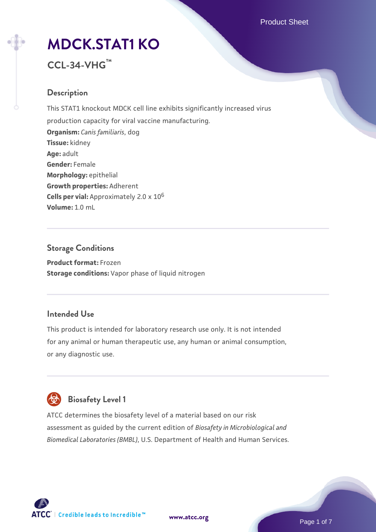# **[MDCK.STAT1 KO](https://www.atcc.org/products/ccl-34-vhg)**

## **CCL-34-VHG™**

## **Description**

This STAT1 knockout MDCK cell line exhibits significantly increased virus production capacity for viral vaccine manufacturing. **Organism:** *Canis familiaris*, dog **Tissue:** kidney **Age:** adult **Gender:** Female **Morphology:** epithelial **Growth properties:** Adherent **Cells per vial:** Approximately 2.0 x 10<sup>6</sup> **Volume:** 1.0 mL

## **Storage Conditions Product format:** Frozen **Storage conditions:** Vapor phase of liquid nitrogen

### **Intended Use**

This product is intended for laboratory research use only. It is not intended for any animal or human therapeutic use, any human or animal consumption, or any diagnostic use.



## **Biosafety Level 1**

ATCC determines the biosafety level of a material based on our risk assessment as guided by the current edition of *Biosafety in Microbiological and Biomedical Laboratories (BMBL)*, U.S. Department of Health and Human Services.

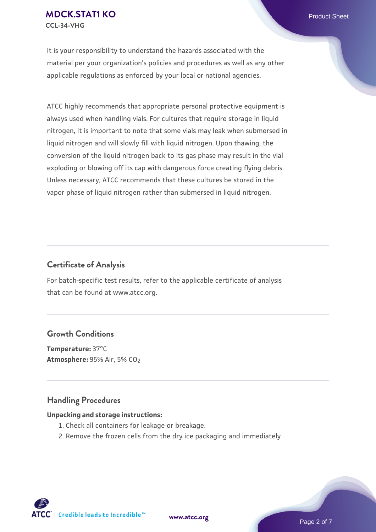It is your responsibility to understand the hazards associated with the material per your organization's policies and procedures as well as any other applicable regulations as enforced by your local or national agencies.

ATCC highly recommends that appropriate personal protective equipment is always used when handling vials. For cultures that require storage in liquid nitrogen, it is important to note that some vials may leak when submersed in liquid nitrogen and will slowly fill with liquid nitrogen. Upon thawing, the conversion of the liquid nitrogen back to its gas phase may result in the vial exploding or blowing off its cap with dangerous force creating flying debris. Unless necessary, ATCC recommends that these cultures be stored in the vapor phase of liquid nitrogen rather than submersed in liquid nitrogen.

#### **Certificate of Analysis**

For batch-specific test results, refer to the applicable certificate of analysis that can be found at www.atcc.org.

#### **Growth Conditions**

**Temperature:** 37°C **Atmosphere: 95% Air, 5% CO<sub>2</sub>** 

#### **Handling Procedures**

#### **Unpacking and storage instructions:**

- 1. Check all containers for leakage or breakage.
- 2. Remove the frozen cells from the dry ice packaging and immediately

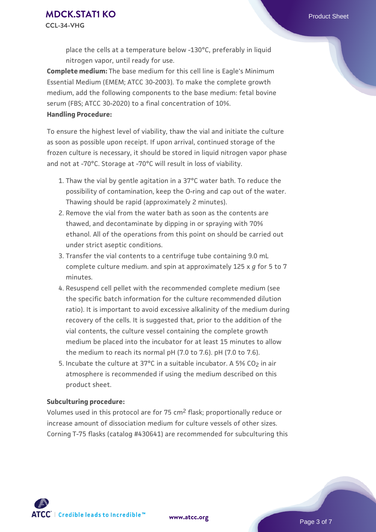place the cells at a temperature below -130°C, preferably in liquid nitrogen vapor, until ready for use.

**Complete medium:** The base medium for this cell line is Eagle's Minimum Essential Medium (EMEM; ATCC 30-2003). To make the complete growth medium, add the following components to the base medium: fetal bovine serum (FBS; ATCC 30-2020) to a final concentration of 10%. **Handling Procedure:**

To ensure the highest level of viability, thaw the vial and initiate the culture as soon as possible upon receipt. If upon arrival, continued storage of the frozen culture is necessary, it should be stored in liquid nitrogen vapor phase and not at -70°C. Storage at -70°C will result in loss of viability.

- 1. Thaw the vial by gentle agitation in a 37°C water bath. To reduce the possibility of contamination, keep the O-ring and cap out of the water. Thawing should be rapid (approximately 2 minutes).
- 2. Remove the vial from the water bath as soon as the contents are thawed, and decontaminate by dipping in or spraying with 70% ethanol. All of the operations from this point on should be carried out under strict aseptic conditions.
- 3. Transfer the vial contents to a centrifuge tube containing 9.0 mL complete culture medium. and spin at approximately 125 x *g* for 5 to 7 minutes.
- 4. Resuspend cell pellet with the recommended complete medium (see the specific batch information for the culture recommended dilution ratio). It is important to avoid excessive alkalinity of the medium during recovery of the cells. It is suggested that, prior to the addition of the vial contents, the culture vessel containing the complete growth medium be placed into the incubator for at least 15 minutes to allow the medium to reach its normal pH (7.0 to 7.6). pH (7.0 to 7.6).
- 5. Incubate the culture at 37°C in a suitable incubator. A 5% CO<sub>2</sub> in air atmosphere is recommended if using the medium described on this product sheet.

#### **Subculturing procedure:**

Volumes used in this protocol are for 75 cm2 flask; proportionally reduce or increase amount of dissociation medium for culture vessels of other sizes. Corning T-75 flasks (catalog #430641) are recommended for subculturing this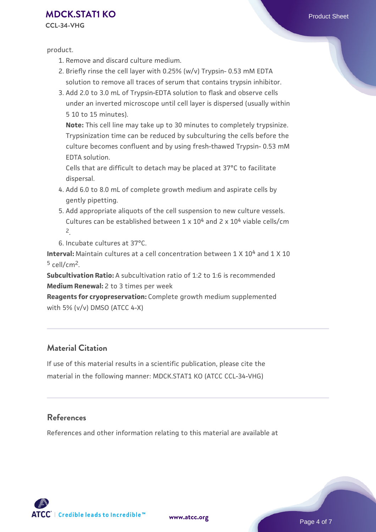### **[MDCK.STAT1 KO](https://www.atcc.org/products/ccl-34-vhg)** Product Sheet

**CCL-34-VHG**

product.

- 1. Remove and discard culture medium.
- 2. Briefly rinse the cell layer with 0.25% (w/v) Trypsin- 0.53 mM EDTA solution to remove all traces of serum that contains trypsin inhibitor.
- 3. Add 2.0 to 3.0 mL of Trypsin-EDTA solution to flask and observe cells under an inverted microscope until cell layer is dispersed (usually within 5 10 to 15 minutes).

**Note:** This cell line may take up to 30 minutes to completely trypsinize. Trypsinization time can be reduced by subculturing the cells before the culture becomes confluent and by using fresh-thawed Trypsin- 0.53 mM EDTA solution.

Cells that are difficult to detach may be placed at 37°C to facilitate dispersal.

- Add 6.0 to 8.0 mL of complete growth medium and aspirate cells by 4. gently pipetting.
- 5. Add appropriate aliquots of the cell suspension to new culture vessels. Cultures can be established between  $1 \times 10^4$  and  $2 \times 10^4$  viable cells/cm 2.

6. Incubate cultures at 37°C.

**Interval:** Maintain cultures at a cell concentration between 1 X 10<sup>4</sup> and 1 X 10  $5$  cell/cm<sup>2</sup>.

**Subcultivation Ratio:** A subcultivation ratio of 1:2 to 1:6 is recommended **Medium Renewal:** 2 to 3 times per week

**Reagents for cryopreservation:** Complete growth medium supplemented with 5% (v/v) DMSO (ATCC 4-X)

### **Material Citation**

If use of this material results in a scientific publication, please cite the material in the following manner: MDCK.STAT1 KO (ATCC CCL-34-VHG)

#### **References**

References and other information relating to this material are available at



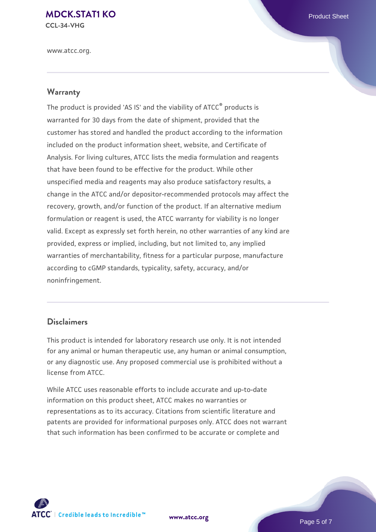## **[MDCK.STAT1 KO](https://www.atcc.org/products/ccl-34-vhg)** Product Sheet

**CCL-34-VHG**

www.atcc.org.

#### **Warranty**

The product is provided 'AS IS' and the viability of ATCC® products is warranted for 30 days from the date of shipment, provided that the customer has stored and handled the product according to the information included on the product information sheet, website, and Certificate of Analysis. For living cultures, ATCC lists the media formulation and reagents that have been found to be effective for the product. While other unspecified media and reagents may also produce satisfactory results, a change in the ATCC and/or depositor-recommended protocols may affect the recovery, growth, and/or function of the product. If an alternative medium formulation or reagent is used, the ATCC warranty for viability is no longer valid. Except as expressly set forth herein, no other warranties of any kind are provided, express or implied, including, but not limited to, any implied warranties of merchantability, fitness for a particular purpose, manufacture according to cGMP standards, typicality, safety, accuracy, and/or noninfringement.

#### **Disclaimers**

This product is intended for laboratory research use only. It is not intended for any animal or human therapeutic use, any human or animal consumption, or any diagnostic use. Any proposed commercial use is prohibited without a license from ATCC.

While ATCC uses reasonable efforts to include accurate and up-to-date information on this product sheet, ATCC makes no warranties or representations as to its accuracy. Citations from scientific literature and patents are provided for informational purposes only. ATCC does not warrant that such information has been confirmed to be accurate or complete and



**[www.atcc.org](http://www.atcc.org)**

Page 5 of 7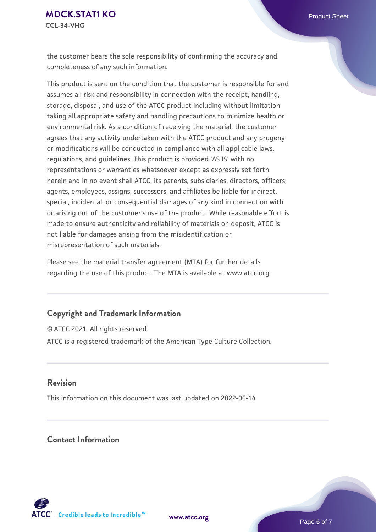the customer bears the sole responsibility of confirming the accuracy and completeness of any such information.

This product is sent on the condition that the customer is responsible for and assumes all risk and responsibility in connection with the receipt, handling, storage, disposal, and use of the ATCC product including without limitation taking all appropriate safety and handling precautions to minimize health or environmental risk. As a condition of receiving the material, the customer agrees that any activity undertaken with the ATCC product and any progeny or modifications will be conducted in compliance with all applicable laws, regulations, and guidelines. This product is provided 'AS IS' with no representations or warranties whatsoever except as expressly set forth herein and in no event shall ATCC, its parents, subsidiaries, directors, officers, agents, employees, assigns, successors, and affiliates be liable for indirect, special, incidental, or consequential damages of any kind in connection with or arising out of the customer's use of the product. While reasonable effort is made to ensure authenticity and reliability of materials on deposit, ATCC is not liable for damages arising from the misidentification or misrepresentation of such materials.

Please see the material transfer agreement (MTA) for further details regarding the use of this product. The MTA is available at www.atcc.org.

#### **Copyright and Trademark Information**

© ATCC 2021. All rights reserved. ATCC is a registered trademark of the American Type Culture Collection.

#### **Revision**

This information on this document was last updated on 2022-06-14

### **Contact Information**



**[www.atcc.org](http://www.atcc.org)**